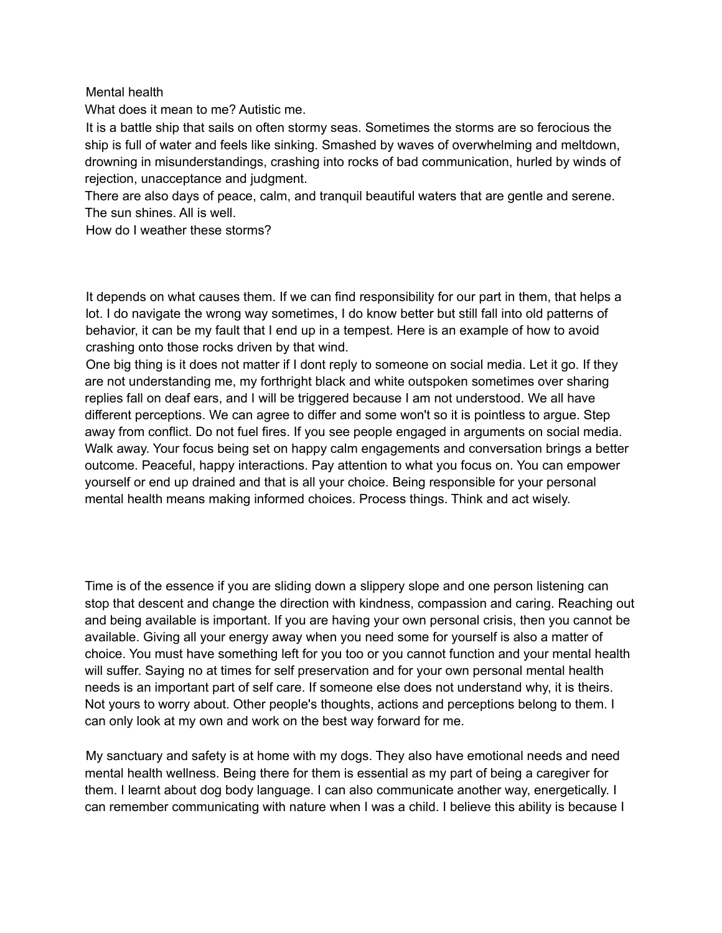## Mental health

What does it mean to me? Autistic me.

It is a battle ship that sails on often stormy seas. Sometimes the storms are so ferocious the ship is full of water and feels like sinking. Smashed by waves of overwhelming and meltdown, drowning in misunderstandings, crashing into rocks of bad communication, hurled by winds of rejection, unacceptance and judgment.

There are also days of peace, calm, and tranquil beautiful waters that are gentle and serene. The sun shines. All is well.

How do I weather these storms?

It depends on what causes them. If we can find responsibility for our part in them, that helps a lot. I do navigate the wrong way sometimes, I do know better but still fall into old patterns of behavior, it can be my fault that I end up in a tempest. Here is an example of how to avoid crashing onto those rocks driven by that wind.

One big thing is it does not matter if I dont reply to someone on social media. Let it go. If they are not understanding me, my forthright black and white outspoken sometimes over sharing replies fall on deaf ears, and I will be triggered because I am not understood. We all have different perceptions. We can agree to differ and some won't so it is pointless to argue. Step away from conflict. Do not fuel fires. If you see people engaged in arguments on social media. Walk away. Your focus being set on happy calm engagements and conversation brings a better outcome. Peaceful, happy interactions. Pay attention to what you focus on. You can empower yourself or end up drained and that is all your choice. Being responsible for your personal mental health means making informed choices. Process things. Think and act wisely.

Time is of the essence if you are sliding down a slippery slope and one person listening can stop that descent and change the direction with kindness, compassion and caring. Reaching out and being available is important. If you are having your own personal crisis, then you cannot be available. Giving all your energy away when you need some for yourself is also a matter of choice. You must have something left for you too or you cannot function and your mental health will suffer. Saying no at times for self preservation and for your own personal mental health needs is an important part of self care. If someone else does not understand why, it is theirs. Not yours to worry about. Other people's thoughts, actions and perceptions belong to them. I can only look at my own and work on the best way forward for me.

My sanctuary and safety is at home with my dogs. They also have emotional needs and need mental health wellness. Being there for them is essential as my part of being a caregiver for them. I learnt about dog body language. I can also communicate another way, energetically. I can remember communicating with nature when I was a child. I believe this ability is because I